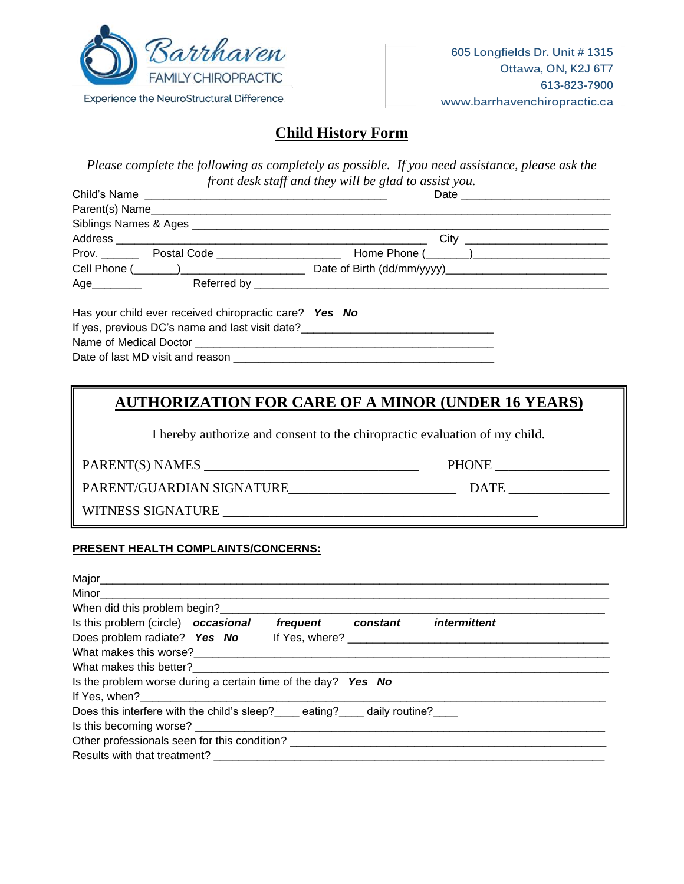

# **Child History Form**

|                                                          | front desk staff and they will be glad to assist you. |
|----------------------------------------------------------|-------------------------------------------------------|
|                                                          |                                                       |
|                                                          |                                                       |
|                                                          |                                                       |
| Prov. Postal Code <b>Proverse Contains Proverse Code</b> |                                                       |
|                                                          | Cell Phone (Company of Date of Birth (dd/mm/yyyy)     |
|                                                          |                                                       |

Has your child ever received chiropractic care? *Yes No* If yes, previous DC's name and last visit date?\_\_\_\_\_\_\_\_\_\_\_\_\_\_\_\_\_\_\_\_\_\_\_\_\_\_\_\_\_\_\_ Name of Medical Doctor \_\_\_\_\_\_\_\_\_\_\_\_\_\_\_\_\_\_\_\_\_\_\_\_\_\_\_\_\_\_\_\_\_\_\_\_\_\_\_\_\_\_\_\_\_\_\_\_ Date of last MD visit and reason **EXAMPLE 2008** 

## **AUTHORIZATION FOR CARE OF A MINOR (UNDER 16 YEARS)**

I hereby authorize and consent to the chiropractic evaluation of my child.

PARENT(S) NAMES \_\_\_\_\_\_\_\_\_\_\_\_\_\_\_\_\_\_\_\_\_\_\_\_\_\_\_\_\_\_\_\_ PHONE \_\_\_\_\_\_\_\_\_\_\_\_\_\_\_\_\_

PARENT/GUARDIAN SIGNATURE\_\_\_\_\_\_\_\_\_\_\_\_\_\_\_\_\_\_\_\_\_\_\_\_\_ DATE \_\_\_\_\_\_\_\_\_\_\_\_\_\_\_

WITNESS SIGNATURE \_\_\_\_\_\_\_\_\_\_\_\_\_\_\_\_\_\_\_\_\_\_\_\_\_\_\_\_\_\_\_\_\_\_\_\_\_\_\_\_\_\_\_\_\_\_\_

## **PRESENT HEALTH COMPLAINTS/CONCERNS:**

| Is this problem (circle) occasional                                | frequent constant | intermittent |  |
|--------------------------------------------------------------------|-------------------|--------------|--|
| Does problem radiate? Yes No                                       |                   |              |  |
|                                                                    |                   |              |  |
| What makes this better?                                            |                   |              |  |
| Is the problem worse during a certain time of the day? Yes No      |                   |              |  |
|                                                                    |                   |              |  |
| Does this interfere with the child's sleep? eating? daily routine? |                   |              |  |
|                                                                    |                   |              |  |
|                                                                    |                   |              |  |
|                                                                    |                   |              |  |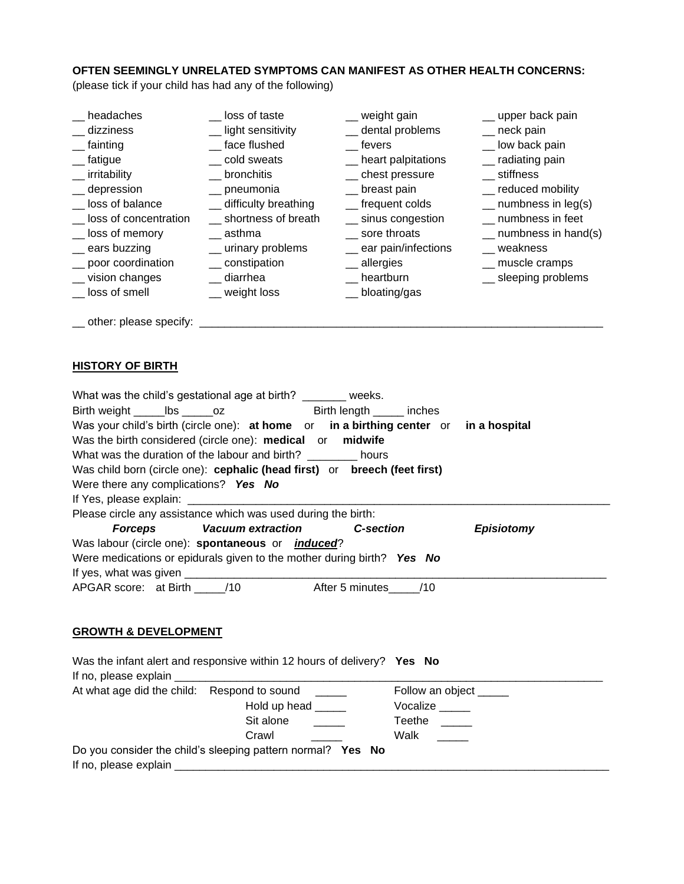#### **OFTEN SEEMINGLY UNRELATED SYMPTOMS CAN MANIFEST AS OTHER HEALTH CONCERNS:**

(please tick if your child has had any of the following)

| headaches                                         | loss of taste          | _ weight gain        | _ upper back pain            |
|---------------------------------------------------|------------------------|----------------------|------------------------------|
| dizziness                                         | _ light sensitivity    | _ dental problems    | $\equiv$ neck pain           |
| fainting                                          | face flushed           | fevers               | _ low back pain              |
| <sub>__</sub> fatigue                             | cold sweats            | _ heart palpitations | __ radiating pain            |
| irritability                                      | __ bronchitis          | _ chest pressure     | __ stiffness                 |
| __ depression                                     | _ pneumonia            | _ breast pain        | __ reduced mobility          |
| loss of balance                                   | _ difficulty breathing | __ frequent colds    | $\equiv$ numbness in leg(s)  |
| loss of concentration                             | shortness of breath    | __ sinus congestion  | numbness in feet             |
| __ loss of memory                                 | asthma                 | sore throats         | $\equiv$ numbness in hand(s) |
| $\equiv$ ears buzzing                             | _ urinary problems     | ear pain/infections  | weakness                     |
| _ poor coordination                               | __ constipation        | __ allergies         | _ muscle cramps              |
| vision changes                                    | diarrhea               | heartburn            | _ sleeping problems          |
| loss of smell<br>other: please specify: _________ | _ weight loss          | _bloating/gas        |                              |

## **HISTORY OF BIRTH**

| What was the child's gestational age at birth? ______ weeks.                          |
|---------------------------------------------------------------------------------------|
|                                                                                       |
| Was your child's birth (circle one): at home or in a birthing center or in a hospital |
| Was the birth considered (circle one): medical or midwife                             |
| What was the duration of the labour and birth? hours                                  |
| Was child born (circle one): cephalic (head first) or breech (feet first)             |
| Were there any complications? Yes No                                                  |
|                                                                                       |
| Please circle any assistance which was used during the birth:                         |
| Forceps Vacuum extraction C-section<br><b>Episiotomy</b>                              |
| Was labour (circle one): spontaneous or <i>induced</i> ?                              |
| Were medications or epidurals given to the mother during birth? Yes No                |
|                                                                                       |
| APGAR score: at Birth ______ /10 After 5 minutes _____ /10                            |

## **GROWTH & DEVELOPMENT**

| Was the infant alert and responsive within 12 hours of delivery? Yes No |                        |
|-------------------------------------------------------------------------|------------------------|
|                                                                         |                        |
| At what age did the child: Respond to sound _____                       | Follow an object _____ |
| Hold up head                                                            | Vocalize _____         |
| Sit alone                                                               | Teethe                 |
| Crawl                                                                   | Walk                   |
| Do you consider the child's sleeping pattern normal? Yes No             |                        |
|                                                                         |                        |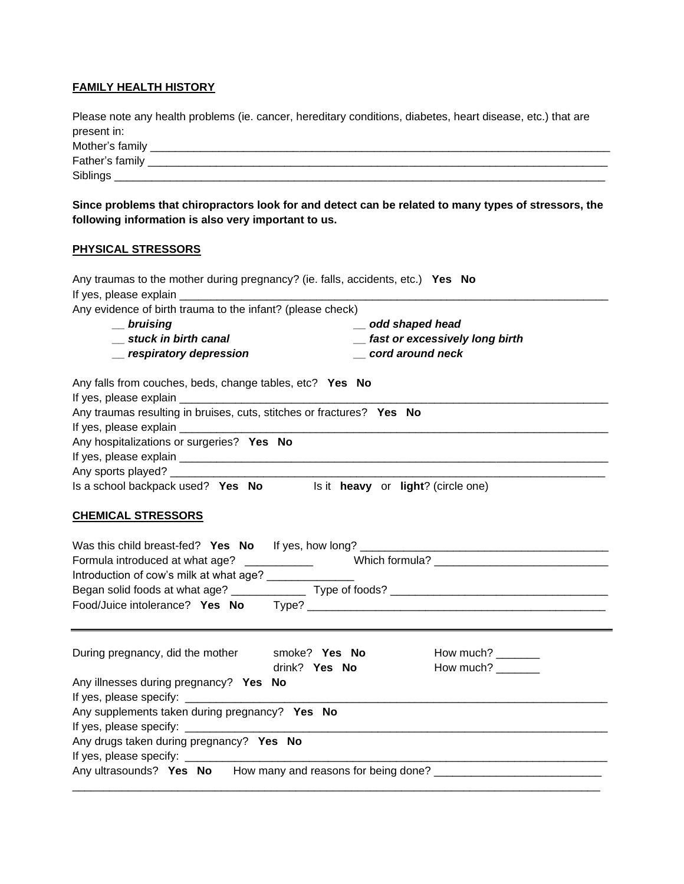#### **FAMILY HEALTH HISTORY**

Please note any health problems (ie. cancer, hereditary conditions, diabetes, heart disease, etc.) that are present in:

| Mother's family |  |
|-----------------|--|
| Father's family |  |
| Siblings        |  |

**Since problems that chiropractors look for and detect can be related to many types of stressors, the following information is also very important to us.**

#### **PHYSICAL STRESSORS**

| Any traumas to the mother during pregnancy? (ie. falls, accidents, etc.) Yes No                                     |
|---------------------------------------------------------------------------------------------------------------------|
| If yes, please explain                                                                                              |
| Any evidence of birth trauma to the infant? (please check)                                                          |
| $\equiv$ bruising<br>odd shaped head                                                                                |
| _ fast or excessively long birth<br>__ stuck in birth canal                                                         |
| cord around neck<br>__ respiratory depression                                                                       |
| Any falls from couches, beds, change tables, etc? Yes No                                                            |
|                                                                                                                     |
| Any traumas resulting in bruises, cuts, stitches or fractures? Yes No                                               |
|                                                                                                                     |
| Any hospitalizations or surgeries? Yes No                                                                           |
|                                                                                                                     |
|                                                                                                                     |
| Is a school backpack used? Yes No Is it heavy or light? (circle one)                                                |
|                                                                                                                     |
| <b>CHEMICAL STRESSORS</b>                                                                                           |
| Introduction of cow's milk at what age? _______________                                                             |
| How much? $\frac{1}{2}$<br>During pregnancy, did the mother<br>smoke? Yes No<br>drink? Yes No<br>How much? ________ |
| Any illnesses during pregnancy? Yes No                                                                              |
|                                                                                                                     |
| Any supplements taken during pregnancy? Yes No                                                                      |
|                                                                                                                     |
| Any drugs taken during pregnancy? Yes No                                                                            |
|                                                                                                                     |
| Any ultrasounds? Yes No How many and reasons for being done? ____________________                                   |
|                                                                                                                     |